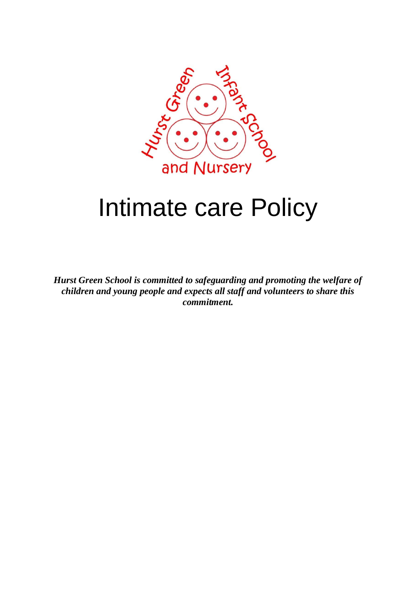

# Intimate care Policy

*Hurst Green School is committed to safeguarding and promoting the welfare of children and young people and expects all staff and volunteers to share this commitment.*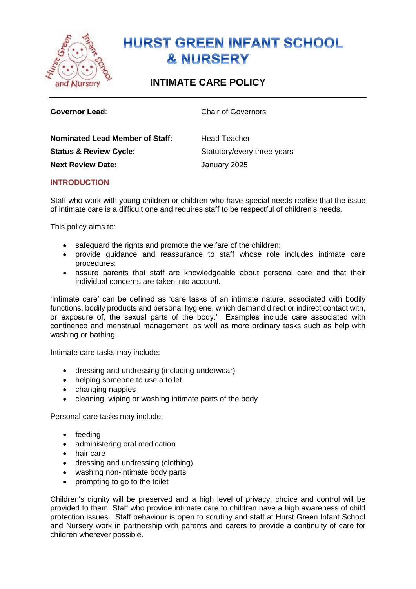

## **HURST GREEN INFANT SCHOOL & NURSERY**

### **INTIMATE CARE POLICY**

**Governor Lead:** Chair of Governors

| <b>Nominated Lead Member of Staff:</b> | <b>Head Teacher</b>         |
|----------------------------------------|-----------------------------|
| <b>Status &amp; Review Cycle:</b>      | Statutory/every three years |
| <b>Next Review Date:</b>               | January 2025                |

#### **INTRODUCTION**

Staff who work with young children or children who have special needs realise that the issue of intimate care is a difficult one and requires staff to be respectful of children's needs.

This policy aims to:

- safeguard the rights and promote the welfare of the children;
- provide guidance and reassurance to staff whose role includes intimate care procedures;
- assure parents that staff are knowledgeable about personal care and that their individual concerns are taken into account.

'Intimate care' can be defined as 'care tasks of an intimate nature, associated with bodily functions, bodily products and personal hygiene, which demand direct or indirect contact with, or exposure of, the sexual parts of the body.' Examples include care associated with continence and menstrual management, as well as more ordinary tasks such as help with washing or bathing.

Intimate care tasks may include:

- dressing and undressing (including underwear)
- helping someone to use a toilet
- changing nappies
- cleaning, wiping or washing intimate parts of the body

Personal care tasks may include:

- feeding
- administering oral medication
- hair care
- dressing and undressing (clothing)
- washing non-intimate body parts
- prompting to go to the toilet

Children's dignity will be preserved and a high level of privacy, choice and control will be provided to them. Staff who provide intimate care to children have a high awareness of child protection issues. Staff behaviour is open to scrutiny and staff at Hurst Green Infant School and Nursery work in partnership with parents and carers to provide a continuity of care for children wherever possible.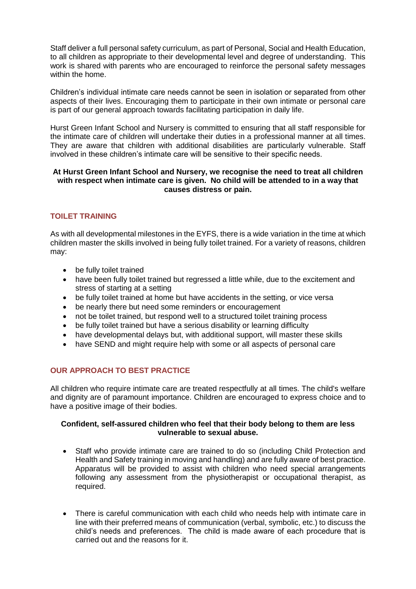Staff deliver a full personal safety curriculum, as part of Personal, Social and Health Education, to all children as appropriate to their developmental level and degree of understanding. This work is shared with parents who are encouraged to reinforce the personal safety messages within the home.

Children's individual intimate care needs cannot be seen in isolation or separated from other aspects of their lives. Encouraging them to participate in their own intimate or personal care is part of our general approach towards facilitating participation in daily life.

Hurst Green Infant School and Nursery is committed to ensuring that all staff responsible for the intimate care of children will undertake their duties in a professional manner at all times. They are aware that children with additional disabilities are particularly vulnerable. Staff involved in these children's intimate care will be sensitive to their specific needs.

#### **At Hurst Green Infant School and Nursery, we recognise the need to treat all children with respect when intimate care is given. No child will be attended to in a way that causes distress or pain.**

#### **TOILET TRAINING**

As with all developmental milestones in the EYFS, there is a wide variation in the time at which children master the skills involved in being fully toilet trained. For a variety of reasons, children may:

- be fully toilet trained
- have been fully toilet trained but regressed a little while, due to the excitement and stress of starting at a setting
- be fully toilet trained at home but have accidents in the setting, or vice versa
- be nearly there but need some reminders or encouragement
- not be toilet trained, but respond well to a structured toilet training process
- be fully toilet trained but have a serious disability or learning difficulty
- have developmental delays but, with additional support, will master these skills
- have SEND and might require help with some or all aspects of personal care

#### **OUR APPROACH TO BEST PRACTICE**

All children who require intimate care are treated respectfully at all times. The child's welfare and dignity are of paramount importance. Children are encouraged to express choice and to have a positive image of their bodies.

#### **Confident, self-assured children who feel that their body belong to them are less vulnerable to sexual abuse.**

- Staff who provide intimate care are trained to do so (including Child Protection and Health and Safety training in moving and handling) and are fully aware of best practice. Apparatus will be provided to assist with children who need special arrangements following any assessment from the physiotherapist or occupational therapist, as required.
- There is careful communication with each child who needs help with intimate care in line with their preferred means of communication (verbal, symbolic, etc.) to discuss the child's needs and preferences. The child is made aware of each procedure that is carried out and the reasons for it.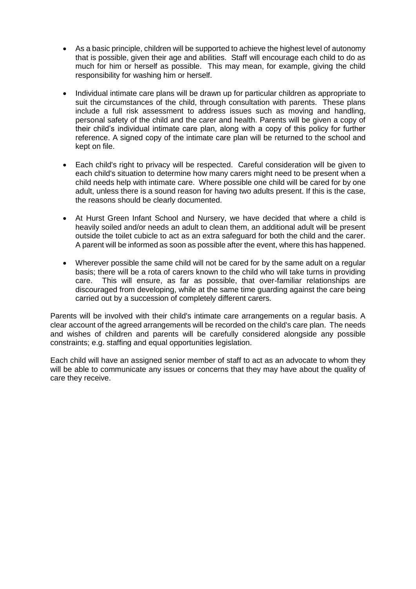- As a basic principle, children will be supported to achieve the highest level of autonomy that is possible, given their age and abilities. Staff will encourage each child to do as much for him or herself as possible. This may mean, for example, giving the child responsibility for washing him or herself.
- Individual intimate care plans will be drawn up for particular children as appropriate to suit the circumstances of the child, through consultation with parents. These plans include a full risk assessment to address issues such as moving and handling, personal safety of the child and the carer and health. Parents will be given a copy of their child's individual intimate care plan, along with a copy of this policy for further reference. A signed copy of the intimate care plan will be returned to the school and kept on file.
- Each child's right to privacy will be respected. Careful consideration will be given to each child's situation to determine how many carers might need to be present when a child needs help with intimate care. Where possible one child will be cared for by one adult, unless there is a sound reason for having two adults present. If this is the case, the reasons should be clearly documented.
- At Hurst Green Infant School and Nursery, we have decided that where a child is heavily soiled and/or needs an adult to clean them, an additional adult will be present outside the toilet cubicle to act as an extra safeguard for both the child and the carer. A parent will be informed as soon as possible after the event, where this has happened.
- Wherever possible the same child will not be cared for by the same adult on a regular basis; there will be a rota of carers known to the child who will take turns in providing care. This will ensure, as far as possible, that over-familiar relationships are discouraged from developing, while at the same time guarding against the care being carried out by a succession of completely different carers.

Parents will be involved with their child's intimate care arrangements on a regular basis. A clear account of the agreed arrangements will be recorded on the child's care plan. The needs and wishes of children and parents will be carefully considered alongside any possible constraints; e.g. staffing and equal opportunities legislation.

Each child will have an assigned senior member of staff to act as an advocate to whom they will be able to communicate any issues or concerns that they may have about the quality of care they receive.